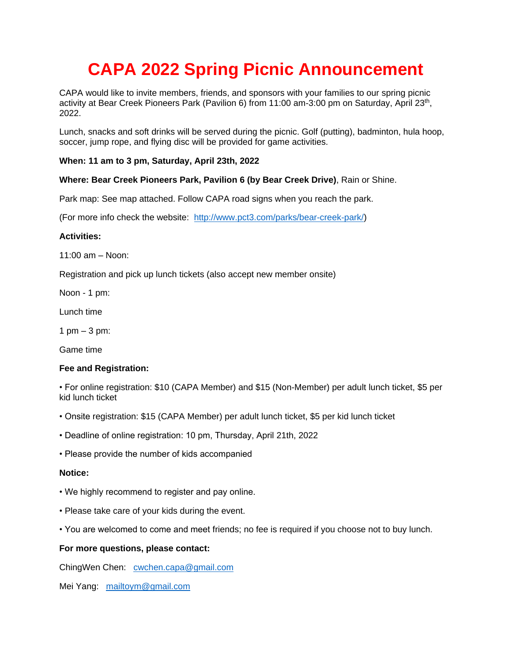# **CAPA 2022 Spring Picnic Announcement**

CAPA would like to invite members, friends, and sponsors with your families to our spring picnic activity at Bear Creek Pioneers Park (Pavilion 6) from 11:00 am-3:00 pm on Saturday, April 23<sup>th</sup>, 2022.

Lunch, snacks and soft drinks will be served during the picnic. Golf (putting), badminton, hula hoop, soccer, jump rope, and flying disc will be provided for game activities.

# **When: 11 am to 3 pm, Saturday, April 23th, 2022**

# **Where: Bear Creek Pioneers Park, Pavilion 6 (by Bear Creek Drive)**, Rain or Shine.

Park map: See map attached. Follow CAPA road signs when you reach the park.

(For more info check the website: [http://www.pct3.com/parks/bear-creek-park/\)](http://www.pct3.com/parks/bear-creek-park/)

### **Activities:**

11:00 am – Noon:

Registration and pick up lunch tickets (also accept new member onsite)

Noon - 1 pm:

Lunch time

1 pm  $-$  3 pm:

Game time

### **Fee and Registration:**

• For online registration: \$10 (CAPA Member) and \$15 (Non-Member) per adult lunch ticket, \$5 per kid lunch ticket

- Onsite registration: \$15 (CAPA Member) per adult lunch ticket, \$5 per kid lunch ticket
- Deadline of online registration: 10 pm, Thursday, April 21th, 2022
- Please provide the number of kids accompanied

#### **Notice:**

- We highly recommend to register and pay online.
- Please take care of your kids during the event.
- You are welcomed to come and meet friends; no fee is required if you choose not to buy lunch.

### **For more questions, please contact:**

ChingWen Chen: [cwchen.capa@gmail.com](mailto:cwchen.capa@gmail.com)

Mei Yang: mailtoym@gmail.com